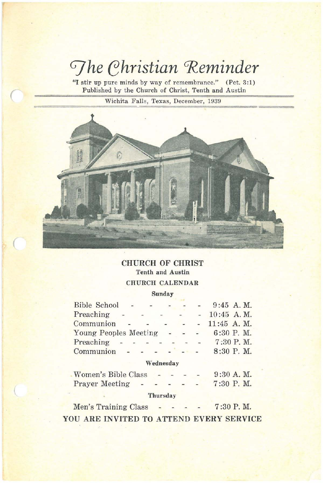# *The Christian Reminder*

"I stir up pure minds by way of remembrance."  $(Pet. 3:1)$ Published by the Church of Christ, Tenth and Austin

Wichita Falls, Texas, December, 1939

 $\overline{\sqrt{\frac{1}{2}}\sqrt{\frac{1}{2}}\sqrt{\frac{1}{2}}\sqrt{\frac{1}{2}}\sqrt{\frac{1}{2}}\sqrt{\frac{1}{2}}\sqrt{\frac{1}{2}}\sqrt{\frac{1}{2}}\sqrt{\frac{1}{2}}\sqrt{\frac{1}{2}}\sqrt{\frac{1}{2}}\sqrt{\frac{1}{2}}\sqrt{\frac{1}{2}}\sqrt{\frac{1}{2}}\sqrt{\frac{1}{2}}\sqrt{\frac{1}{2}}\sqrt{\frac{1}{2}}\sqrt{\frac{1}{2}}\sqrt{\frac{1}{2}}\sqrt{\frac{1}{2}}\sqrt{\frac{1}{2}}\sqrt{\frac{1}{2}}\sqrt{\frac{1}{2}}\sqrt{\frac{1}{2}}\$ 

 $\overline{\left( \right. }%$ 



# CHURCH OF CHRIST Tenth and Austin CHURCH CALENDAR

#### Sunday

| <b>Bible School</b>   |                          | $-$  | $\overline{\phantom{0}}$ |   |        |               | $9:45$ A, M.  |
|-----------------------|--------------------------|------|--------------------------|---|--------|---------------|---------------|
| Preaching             | $\overline{\phantom{a}}$ |      |                          | ÷ | $-1$   |               | 10:45 A.M.    |
| Communion             |                          |      |                          |   |        |               | $11:45$ A. M. |
| Young Peoples Meeting |                          |      |                          |   | $\sim$ | $\frac{1}{2}$ | $6:30$ P.M.   |
| Preaching             |                          |      |                          |   |        | $-$           | 7:30 P.M.     |
| Communion             |                          | $ -$ |                          |   |        |               | $8:30$ P. M.  |

# Wednesday

| <b>Women's Bible Class</b> |  |  | $9:30$ A. M. |
|----------------------------|--|--|--------------|
| <b>Prayer Meeting</b>      |  |  | 7:30 P.M.    |

# **Thursday**

Men's Training Class  $7:30$  P. M. YOU ARE INVITED TO ATTEND EVERY SERVICE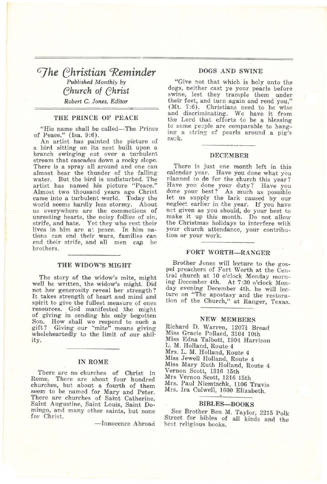# *GJhe ehristian <Reminder Published Monthly* by *ehurch* of *ehrist Robert* C. *Janes, Editor*

#### THE PRINCE OF PEACE

"His name shall be called-The Prince of Peace." (Isa. 9:6).

An artist has painted the picture of a bird sitting on its nest built upon a branch swinging out over a turbulent stream that cascades down a rocky slope. There is a spray all around and one can almost hear the thunder of the falling water. But the bird is undisturbed. The artist has named his picture "Peace/' Almost two thousand years ago Christ came into a turbulent world. Today the us everywhere are the commotions of unresting hearts, the noisy follies of sin, strife, and hate. Yet they who rest their lives in him are at peace. In him nations can end their wars, families can<br>end their strife, and all men can be brothers.

#### THE WIDOW'S MIGHT

The story of the widow's mite, might well be written, the widow's might. Did not her generosity reveal her strength? It takes strength of heart and mind and resources. God manifested the might of giving in sending his only begotten Son. How shall we respond to such <sup>a</sup> gift? Giving our "mite" means giving wholeheartedly to the limit of our ability.

#### IN ROME

There are no churches of Christ in<br>Rome. There are about four hundred There are about four hundred churches, but about a fourth of them seem to be named for Mary and Peter. There are churches of Saint Catherine,<br>Saint Augustine, Saint Louis, Saint Domingo, and many other saints, but none for Christ.

-Innocence Abroad

## DOGS AND SWINE

"Give not that which is holy unto the dogs, neither cast ye your pearls before swine, lest they trample them under their feet, and turn again and rend you"  $(Mt. 7:6)$ . Christians need to be wise and discriminating. We have it from the Lord that efforts to be a blessing to some reople are comparable to hanging a string of pearls around a pig's ne:k.

#### DECEMBER

There is just one month left in this calendar year. Have you done what you nlanned to do for the church this year? Have you done your duty? Have you done your best? As much as possible let us supply the lack caused by our neglect earlier in the year. If you have net given as you should, do your best to make it up this month. Do not allow the Christmas holidays to interfere with<br>the Christmas holidays to interfere with<br>your church attendance, your contribu-<br>ion or your work. your church attendance, your contribution or your work.

#### FORT WORTH-RANGER

Brother Jones will lecture to the gospel preachers of Fort Worth at the Central church at 10 o'clock Monday morning December 4th. At 7:30 o'clock Monday evening December 4th. he will lecture on "The apostasy and the restoration of the Church," at Ranger, Texas.

# NEW MEMBERS

Richard D. Warren, 12071 Broad Miss Gracie Pollard, 3104 10th Miss Edna Talbott, 1904 Harrison L. M. Holland, Route 4 Mrs. L. M. Holland, Route 4 Miss Jewell Holland, Route 4 :Miss Mary Ruth Holland, Route 4 Vernon Scott, 1316 15th Mrs Vernon Scott, 1316 15th Mrs. Paul Niemtschk, 1106 Travis Mrs. Ira Culwell, 1600 Elizabeth.

#### BIBLES-BOOKS

See Brother Ben M. Taylor, 2215 Polk Street for bibles of all kinds and the best religious books.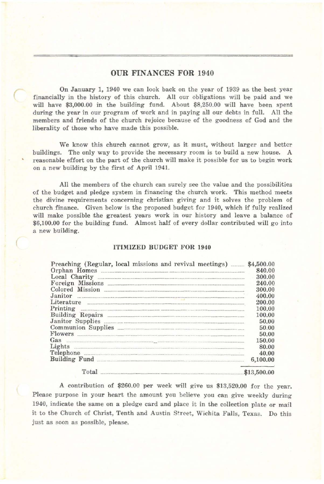# OUR FINANCES FOR 1940

On January 1, 1940 we can look back on the year of 1939 as the best year financially in the history of this church. All our obligations will be paid and we will have \$3,000.00 in the building fund. About \$8,250.00 will have been spent during the year in our program of work and in paying all our debts in full. All the members and friends of the church rejoice because of the goodness of God and the liberality of those who have made this possible.

(

We know this church cannot grow, as it must, without larger and better buildings. The only way to provide the necessary room is to build a new house. A reasonable effort on the part of the church will make it possible for us to begin work on a new building by the first of April 1941.

All the members of the church can surely see the value and the possibilities of the budget and pledge system in financing the church work. This method meets the divine requirements concerning christian giving and it solves the problem of church finance. Given below is the proposed budget for 1940, which if fully realized will make possible the greatest years work in our history and leave a balance of \$6,100.00 for the building fund. Almost half of every dollar contributed will go into a new building.

## ITIMIZED BUDGET FOR 1940

| Local Charity 2008 and 2008 and 2008 and 2008 and 2008 and 2008 and 2008 and 2008 and 2008 and 2008 and 2008 a                                                                                                                                                                         |             |
|----------------------------------------------------------------------------------------------------------------------------------------------------------------------------------------------------------------------------------------------------------------------------------------|-------------|
|                                                                                                                                                                                                                                                                                        |             |
|                                                                                                                                                                                                                                                                                        |             |
|                                                                                                                                                                                                                                                                                        |             |
| Literature                                                                                                                                                                                                                                                                             |             |
| Printing                                                                                                                                                                                                                                                                               |             |
|                                                                                                                                                                                                                                                                                        |             |
|                                                                                                                                                                                                                                                                                        |             |
| Communion Supplies                                                                                                                                                                                                                                                                     |             |
| Flowers <b>Example 20</b> Flowers <b>Example 20</b> Flowers <b>Example 20</b> Flowers <b>Example 20</b> Flowers <b>Example 20</b> Flowers <b>Example 20</b> Flowers <b>Example 20</b> Flowers <b>Example 20</b> Flowers <b>Example 20</b> Flowers <b>Example 20</b> Flowers <b>Exa</b> |             |
| Gas                                                                                                                                                                                                                                                                                    |             |
|                                                                                                                                                                                                                                                                                        |             |
| Telephone                                                                                                                                                                                                                                                                              |             |
|                                                                                                                                                                                                                                                                                        |             |
| <b>Total</b>                                                                                                                                                                                                                                                                           | \$13,500,00 |

A contribution of \$260.00 per week will give us \$13,520.00 for the year. Please purpose in your heart the amount you believe you can give weekly during 1940, indicate the same on a pledge card and place it in the collection plate or mail it to the Church of Christ, Tenth and Austin Street, Wichita Falls, Texas. Do this just as soon as possible, please.